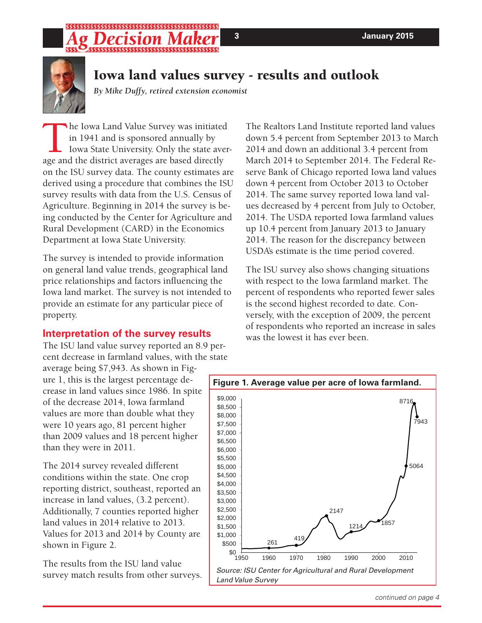### ;\$\$\$\$\$\$\$\$\$\$\$\$\$\$\$\$\$\$\$\$\$\$\$\$\$\$\$\$\$\$\$\$\$\$ \$\$\$\$\$\$\$\$\$\$\$\$\$\$\$\$\$\$\$\$\$\$\$\$\$\$\$\$\$\$\$\$\$\$



# **Iowa land values survey - results and outlook**

*By Mike Duffy, retired extension economist*

The Iowa Land Value Survey was initiated<br>in 1941 and is sponsored annually by<br>Iowa State University. Only the state aver<br>age and the district averages are based directly in 1941 and is sponsored annually by Iowa State University. Only the state average and the district averages are based directly on the ISU survey data. The county estimates are derived using a procedure that combines the ISU survey results with data from the U.S. Census of Agriculture. Beginning in 2014 the survey is being conducted by the Center for Agriculture and Rural Development (CARD) in the Economics Department at Iowa State University.

The survey is intended to provide information on general land value trends, geographical land price relationships and factors influencing the Iowa land market. The survey is not intended to provide an estimate for any particular piece of property.

### **Interpretation of the survey results**

The ISU land value survey reported an 8.9 percent decrease in farmland values, with the state

average being \$7,943. As shown in Figure 1, this is the largest percentage decrease in land values since 1986. In spite of the decrease 2014, Iowa farmland values are more than double what they were 10 years ago, 81 percent higher than 2009 values and 18 percent higher than they were in 2011.

The 2014 survey revealed different conditions within the state. One crop reporting district, southeast, reported an increase in land values, (3.2 percent). Additionally, 7 counties reported higher land values in 2014 relative to 2013. Values for 2013 and 2014 by County are shown in Figure 2.

The results from the ISU land value survey match results from other surveys. The Realtors Land Institute reported land values down 5.4 percent from September 2013 to March 2014 and down an additional 3.4 percent from March 2014 to September 2014. The Federal Reserve Bank of Chicago reported Iowa land values down 4 percent from October 2013 to October 2014. The same survey reported Iowa land values decreased by 4 percent from July to October, 2014. The USDA reported Iowa farmland values up 10.4 percent from January 2013 to January 2014. The reason for the discrepancy between USDA's estimate is the time period covered.

The ISU survey also shows changing situations with respect to the Iowa farmland market. The percent of respondents who reported fewer sales is the second highest recorded to date. Conversely, with the exception of 2009, the percent of respondents who reported an increase in sales was the lowest it has ever been.

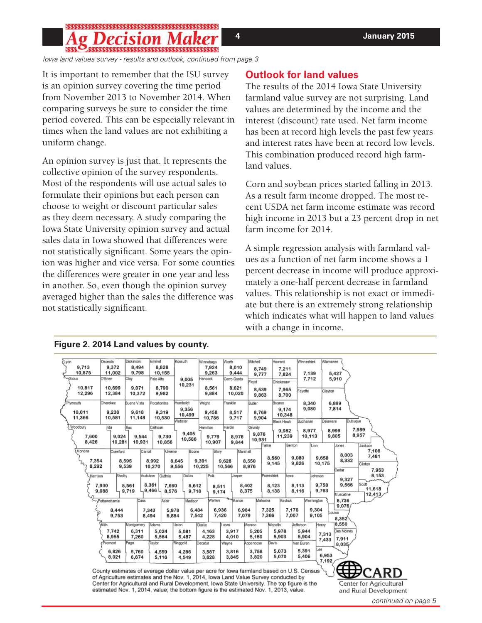# 

*Iowa land values survey - results and outlook, continued from page 3*

It is important to remember that the ISU survey is an opinion survey covering the time period from November 2013 to November 2014. When comparing surveys be sure to consider the time period covered. This can be especially relevant in times when the land values are not exhibiting a uniform change.

An opinion survey is just that. It represents the collective opinion of the survey respondents. Most of the respondents will use actual sales to formulate their opinions but each person can choose to weight or discount particular sales as they deem necessary. A study comparing the Iowa State University opinion survey and actual sales data in Iowa showed that differences were not statistically significant. Some years the opinion was higher and vice versa. For some counties the differences were greater in one year and less in another. So, even though the opinion survey averaged higher than the sales the difference was not statistically significant.

### **Outlook for land values**

The results of the 2014 Iowa State University farmland value survey are not surprising. Land values are determined by the income and the interest (discount) rate used. Net farm income has been at record high levels the past few years and interest rates have been at record low levels. This combination produced record high farmland values.

Corn and soybean prices started falling in 2013. As a result farm income dropped. The most recent USDA net farm income estimate was record high income in 2013 but a 23 percent drop in net farm income for 2014.

A simple regression analysis with farmland values as a function of net farm income shows a 1 percent decrease in income will produce approximately a one-half percent decrease in farmland values. This relationship is not exact or immediate but there is an extremely strong relationship which indicates what will happen to land values with a change in income.

| <i><u><b>Lyon</b></u></i>                                                                                              | Osceola           | Dickinson          | Emmet               | Kossuth           | Winnebago        | Worth                | Mitchell       | Howard            | Winneshiek         | Allamakee                          |
|------------------------------------------------------------------------------------------------------------------------|-------------------|--------------------|---------------------|-------------------|------------------|----------------------|----------------|-------------------|--------------------|------------------------------------|
| 9,713                                                                                                                  | 9,372             | 8,494              | 8,828               |                   | 7.924            | 8,010                | 8,749          | 7,211             |                    |                                    |
| 10,875<br>Sioux                                                                                                        | 11,002<br>O'Brien | 9,798<br>Clay      | 10,155<br>Palo Alto |                   | 9,263<br>Hancock | 9,444<br>Cerro Gordo | 9,777          | 7,824             | 7,139<br>7.712     | 5,427<br>5,910                     |
|                                                                                                                        |                   |                    |                     | 9,005<br>10,231   |                  |                      | Floyd          | Chickasaw         |                    |                                    |
| 10,817                                                                                                                 | 10,699            | 9,071              | 8,790               |                   | 8,561            | 8,621                | 8,539          | 7,965             | Fayette            | Clayton                            |
| 12,296                                                                                                                 | 12,384            | 10,372             | 9,982               |                   | 9,884            | 10,020               | 9,863          | 8,700             |                    |                                    |
| Plymouth                                                                                                               | Cherokee          | <b>Buena Vista</b> | Pocahontas          | Humboldt          | Wright           | Franklin             | Butler         | Bremer            | 8,340              | 6,899                              |
| 10,011                                                                                                                 | 9,238             | 9,618              | 9,319               | 9,356             | 9,458            | 8,517                | 8,769          | 9,174             | 9,080              | 7,814                              |
| 11,366                                                                                                                 | 10,581            | 11,148             | 10,530              | 10,499<br>Webster | 10,786           | 9,717                | 9,904          | 10,348            | Buchanan           | Dubuque<br>Delaware                |
| Woodbury                                                                                                               | <b>Ida</b>        | Sac                | Calhoun             |                   | Hamilton         | Hardin               | Grundy         | <b>Black Hawk</b> |                    |                                    |
|                                                                                                                        |                   |                    |                     | 9,405             |                  |                      | 9,876          | 9,982             | 8,977              | 7,989<br>8,999<br>8,957            |
| 7,600<br>8,426                                                                                                         | 9,024<br>10,281   | 9,544<br>10,931    | 9,730<br>10,856     | 10,586            | 9,779<br>10,907  | 8,976<br>9,844       | 10,931         | 11,239            | 10,113             | 9,805                              |
|                                                                                                                        |                   |                    |                     |                   |                  |                      | Tama           | Benton            | Linn               | Jones<br>Jackson                   |
| Monona                                                                                                                 | Crawford          | Carroll            | Greene              | Boone             | Story            | Marshall             |                | 8,560             | 9,080              | 7,108<br>8,003<br>7,481<br>9.658   |
| 7,354                                                                                                                  |                   | 8,595              | 8.992               | 8,645             | 9,391            | 9,628                | 8,550          | 9,145             | 9,826              | 8,332<br>10,175<br>Clinton         |
| 8,292                                                                                                                  |                   | 9,539              | 10,270              | 9,556             | 10,225           | 10,566               | 8,976          |                   |                    | Cedar<br>7,953                     |
| Harrison                                                                                                               | Shelby            | Audubon            | Guthrie             | Dallas            | Polk             | Jasper               | Poweshiek      | lowa              | Johnson            | 8,153<br>9,327                     |
|                                                                                                                        | 7.930             | 8,561              | 8,361<br>7.660      | 8,612             | 8,511            |                      | 8,402          | 8,123             | 8,113              | Scott<br>9,566<br>9,758            |
|                                                                                                                        | 9,088             | 9,719              | 9,466<br>8,576      | 9,718             | 9.174            |                      | 8,375          | 8,138             | 8,116              | 11,618<br>9,763<br>Muscatine       |
|                                                                                                                        | Pottawattamie     | Cass               | Adair               | Madison           | Warren           | <b>Marion</b>        | Mahaska        | Keokuk            | Washington         | 12,413<br>8,736                    |
|                                                                                                                        |                   |                    |                     |                   |                  |                      |                |                   |                    | 9,076                              |
|                                                                                                                        | 8,444<br>9,753    | 7,343<br>8,494     | 5,978<br>6,884      | 6,484<br>7,542    | 6,936<br>7,420   | 6,984<br>7,079       | 7,325<br>7,366 | 7,176<br>7,007    | 9,304<br>9,105     | ouisa                              |
|                                                                                                                        |                   |                    |                     |                   |                  |                      |                |                   |                    | 8,352                              |
|                                                                                                                        | <b>Wills</b>      | Montgomery         | Adams               | Union             | Clarke           | Lucas                | Monroe         | Wapello           | Jefferson<br>Henry | 8,550<br>Des Moines                |
|                                                                                                                        | 7,742<br>8,955    | 6,311<br>7,260     | 5.024<br>5,564      | 5,081<br>5,487    | 4.163<br>4,228   | 3,917<br>4,010       | 5,205<br>5,150 | 5,978<br>5,903    | 5,944<br>5,904     | 7,313                              |
|                                                                                                                        | Fremont           | Page               | avlor               | Ringgold          | Decatur          | Wayne                | Appanoose      | Davis             | Van Buren          | 7,911<br>7,433<br>8,035            |
|                                                                                                                        | 6,826             | 5,760              | 4,559               | 4,286             | 3,587            | 3,816                | 3,758          | 5,073             | ee<br>5,391        |                                    |
|                                                                                                                        | 8,021             | 6,674              | 5,116               | 4,549             | 3,628            | 3,845                | 3,820          | 5,070             | 5,406              | 6,953                              |
|                                                                                                                        |                   |                    |                     |                   |                  |                      |                |                   |                    | 7,192<br>$\tau$<br><del>,,,,</del> |
| County estimates of average dollar value per acre for lowa farmland based on U.S. Census<br>ARD<br>$\mathbf{u}$        |                   |                    |                     |                   |                  |                      |                |                   |                    |                                    |
| of Agriculture estimates and the Nov. 1, 2014, lowa Land Value Survey conducted by                                     |                   |                    |                     |                   |                  |                      |                |                   |                    |                                    |
| Center for Agricultural and Rural Development, Iowa State University. The top figure is the<br>Center for Agricultural |                   |                    |                     |                   |                  |                      |                |                   |                    |                                    |
| estimated Nov. 1, 2014, value; the bottom figure is the estimated Nov. 1, 2013, value.<br>and Rural Development        |                   |                    |                     |                   |                  |                      |                |                   |                    |                                    |

**Figure 2. 2014 Land values by county.**

*continued on page 5*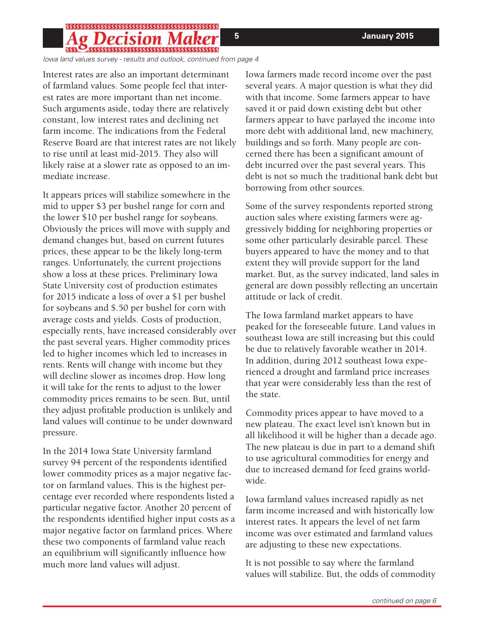## ;\$\$\$\$\$\$\$\$\$\$\$\$\$\$\$\$\$\$\$\$\$\$\$\$\$\$\$\$\$\$\$\$\$\$

*Iowa land values survey - results and outlook, continued from page 4*

Interest rates are also an important determinant of farmland values. Some people feel that interest rates are more important than net income. Such arguments aside, today there are relatively constant, low interest rates and declining net farm income. The indications from the Federal Reserve Board are that interest rates are not likely to rise until at least mid-2015. They also will likely raise at a slower rate as opposed to an immediate increase.

It appears prices will stabilize somewhere in the mid to upper \$3 per bushel range for corn and the lower \$10 per bushel range for soybeans. Obviously the prices will move with supply and demand changes but, based on current futures prices, these appear to be the likely long-term ranges. Unfortunately, the current projections show a loss at these prices. Preliminary Iowa State University cost of production estimates for 2015 indicate a loss of over a \$1 per bushel for soybeans and \$.50 per bushel for corn with average costs and yields. Costs of production, especially rents, have increased considerably over the past several years. Higher commodity prices led to higher incomes which led to increases in rents. Rents will change with income but they will decline slower as incomes drop. How long it will take for the rents to adjust to the lower commodity prices remains to be seen. But, until they adjust profitable production is unlikely and land values will continue to be under downward pressure.

In the 2014 Iowa State University farmland survey 94 percent of the respondents identified lower commodity prices as a major negative factor on farmland values. This is the highest percentage ever recorded where respondents listed a particular negative factor. Another 20 percent of the respondents identified higher input costs as a major negative factor on farmland prices. Where these two components of farmland value reach an equilibrium will significantly influence how much more land values will adjust.

Iowa farmers made record income over the past several years. A major question is what they did with that income. Some farmers appear to have saved it or paid down existing debt but other farmers appear to have parlayed the income into more debt with additional land, new machinery, buildings and so forth. Many people are concerned there has been a significant amount of debt incurred over the past several years. This debt is not so much the traditional bank debt but borrowing from other sources.

Some of the survey respondents reported strong auction sales where existing farmers were aggressively bidding for neighboring properties or some other particularly desirable parcel. These buyers appeared to have the money and to that extent they will provide support for the land market. But, as the survey indicated, land sales in general are down possibly reflecting an uncertain attitude or lack of credit.

The Iowa farmland market appears to have peaked for the foreseeable future. Land values in southeast Iowa are still increasing but this could be due to relatively favorable weather in 2014. In addition, during 2012 southeast Iowa experienced a drought and farmland price increases that year were considerably less than the rest of the state.

Commodity prices appear to have moved to a new plateau. The exact level isn't known but in all likelihood it will be higher than a decade ago. The new plateau is due in part to a demand shift to use agricultural commodities for energy and due to increased demand for feed grains worldwide.

Iowa farmland values increased rapidly as net farm income increased and with historically low interest rates. It appears the level of net farm income was over estimated and farmland values are adjusting to these new expectations.

It is not possible to say where the farmland values will stabilize. But, the odds of commodity